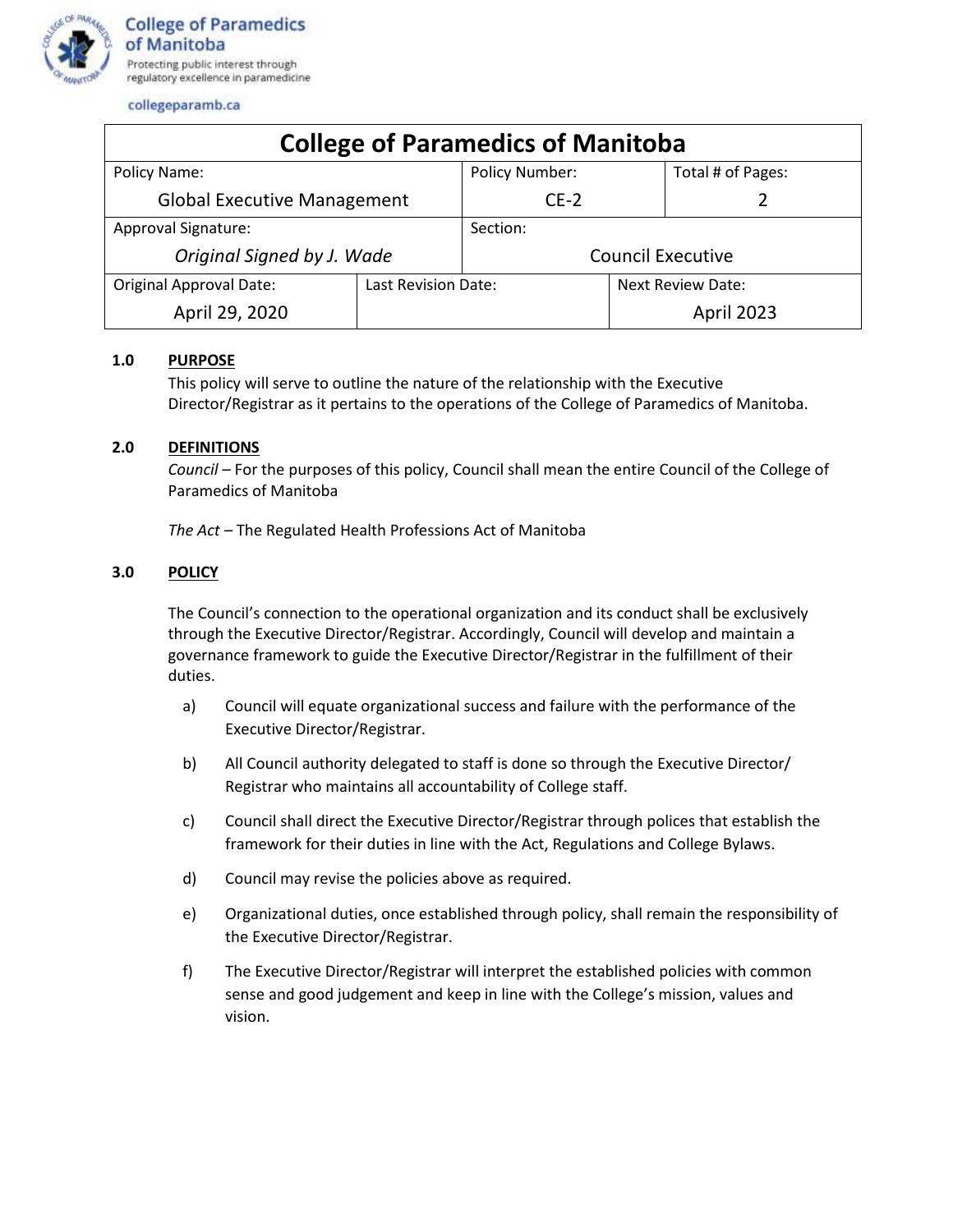

collegeparamb.ca

| <b>College of Paramedics of Manitoba</b> |                     |                          |                   |                   |
|------------------------------------------|---------------------|--------------------------|-------------------|-------------------|
| Policy Name:                             |                     | Policy Number:           |                   | Total # of Pages: |
| <b>Global Executive Management</b>       |                     | $CE-2$                   |                   |                   |
| <b>Approval Signature:</b>               |                     | Section:                 |                   |                   |
| Original Signed by J. Wade               |                     | <b>Council Executive</b> |                   |                   |
| <b>Original Approval Date:</b>           | Last Revision Date: |                          | Next Review Date: |                   |
| April 29, 2020                           |                     |                          |                   | April 2023        |

## **1.0 PURPOSE**

This policy will serve to outline the nature of the relationship with the Executive Director/Registrar as it pertains to the operations of the College of Paramedics of Manitoba.

## **2.0 DEFINITIONS**

*Council –* For the purposes of this policy, Council shall mean the entire Council of the College of Paramedics of Manitoba

*The Act –* The Regulated Health Professions Act of Manitoba

## **3.0 POLICY**

The Council's connection to the operational organization and its conduct shall be exclusively through the Executive Director/Registrar. Accordingly, Council will develop and maintain a governance framework to guide the Executive Director/Registrar in the fulfillment of their duties.

- a) Council will equate organizational success and failure with the performance of the Executive Director/Registrar.
- b) All Council authority delegated to staff is done so through the Executive Director/ Registrar who maintains all accountability of College staff.
- c) Council shall direct the Executive Director/Registrar through polices that establish the framework for their duties in line with the Act, Regulations and College Bylaws.
- d) Council may revise the policies above as required.
- e) Organizational duties, once established through policy, shall remain the responsibility of the Executive Director/Registrar.
- f) The Executive Director/Registrar will interpret the established policies with common sense and good judgement and keep in line with the College's mission, values and vision.